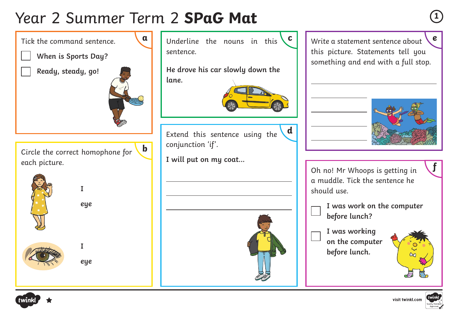## Year 2 Summer Term 2 **SPaG Mat <sup>1</sup>**



**a** Underline the nouns in this  $\begin{bmatrix} c \\ \end{bmatrix}$  Write a statement sentence about  $\begin{bmatrix} e \end{bmatrix}$ Write a statement sentence about this picture. Statements tell you something and end with a full stop.

**d**



Oh no! Mr Whoops is getting in a muddle. Tick the sentence he should use.

- **I was work on the computer before lunch?**
- **I was working on the computer before lunch.**





**f**

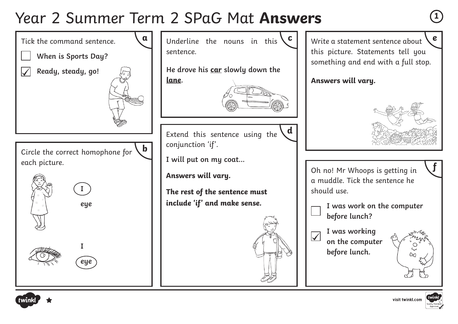#### Year 2 Summer Term 2 SPaG Mat **Answers <sup>1</sup>**



Write a statement sentence about this picture. Statements tell you something and end with a full stop.

**Answers will vary.**

**d**



Oh no! Mr Whoops is getting in a muddle. Tick the sentence he should use.

**I was work on the computer before lunch?**

**I was working on the computer before lunch.**





**f**

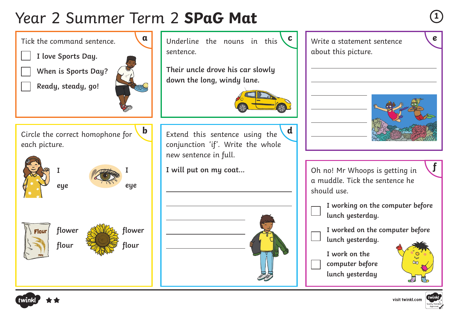# Year 2 Summer Term 2 **SPaG Mat <sup>1</sup>**



visit twinkl.com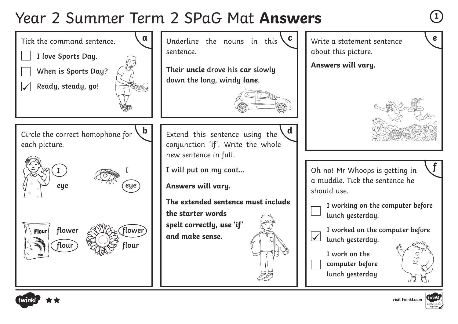#### Year 2 Summer Term 2 SPaG Mat **Answers <sup>1</sup>**



visit twinkl.com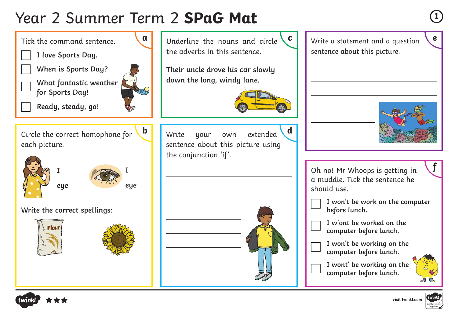# Year 2 Summer Term 2 **SPaG Mat <sup>1</sup>**



visit twinkl.com